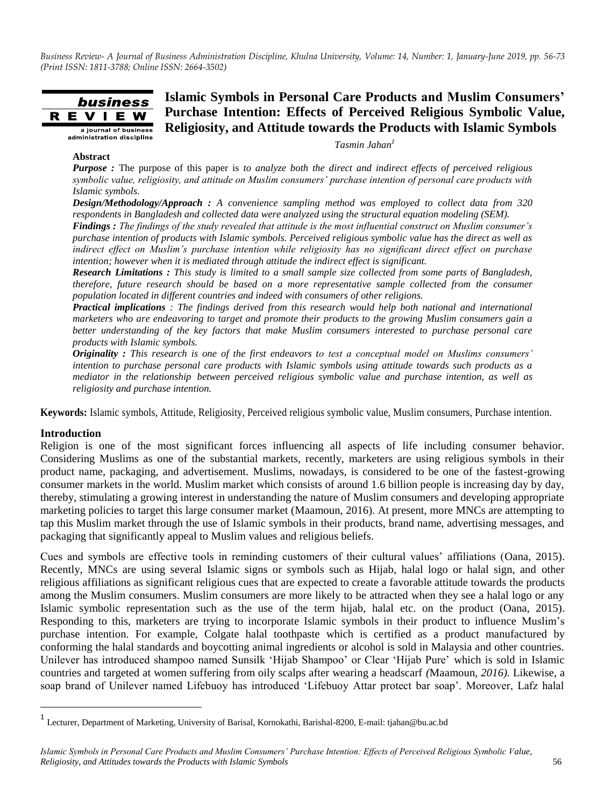#### **Islamic Symbols in Personal Care Products and Muslim Consumers'**  business **Purchase Intention: Effects of Perceived Religious Symbolic Value,**  E V I **Religiosity, and Attitude towards the Products with Islamic Symbols** a journal of business administration discipline

*Tasmin Jahan<sup>1</sup>*

#### **Abstract**

R

*Purpose :* The purpose of this paper is *to analyze both the direct and indirect effects of perceived religious symbolic value, religiosity, and attitude on Muslim consumers' purchase intention of personal care products with Islamic symbols.*

*Design/Methodology/Approach : A convenience sampling method was employed to collect data from 320 respondents in Bangladesh and collected data were analyzed using the structural equation modeling (SEM).*

*Findings : The findings of the study revealed that attitude is the most influential construct on Muslim consumer's purchase intention of products with Islamic symbols. Perceived religious symbolic value has the direct as well as indirect effect on Muslim's purchase intention while religiosity has no significant direct effect on purchase intention; however when it is mediated through attitude the indirect effect is significant.* 

*Research Limitations : This study is limited to a small sample size collected from some parts of Bangladesh, therefore, future research should be based on a more representative sample collected from the consumer population located in different countries and indeed with consumers of other religions.* 

*Practical implications : The findings derived from this research would help both national and international marketers who are endeavoring to target and promote their products to the growing Muslim consumers gain a better understanding of the key factors that make Muslim consumers interested to purchase personal care products with Islamic symbols.* 

*Originality : This research is one of the first endeavors to test a conceptual model on Muslims consumers' intention to purchase personal care products with Islamic symbols using attitude towards such products as a mediator in the relationship between perceived religious symbolic value and purchase intention, as well as religiosity and purchase intention.*

**Keywords:** Islamic symbols, Attitude, Religiosity, Perceived religious symbolic value, Muslim consumers, Purchase intention.

#### **Introduction**

 $\overline{a}$ 

Religion is one of the most significant forces influencing all aspects of life including consumer behavior. Considering Muslims as one of the substantial markets, recently, marketers are using religious symbols in their product name, packaging, and advertisement. Muslims, nowadays, is considered to be one of the fastest-growing consumer markets in the world. Muslim market which consists of around 1.6 billion people is increasing day by day, thereby, stimulating a growing interest in understanding the nature of Muslim consumers and developing appropriate marketing policies to target this large consumer market (Maamoun, 2016). At present, more MNCs are attempting to tap this Muslim market through the use of Islamic symbols in their products, brand name, advertising messages, and packaging that significantly appeal to Muslim values and religious beliefs.

Cues and symbols are effective tools in reminding customers of their cultural values" affiliations (Oana, 2015). Recently, MNCs are using several Islamic signs or symbols such as Hijab, halal logo or halal sign, and other religious affiliations as significant religious cues that are expected to create a favorable attitude towards the products among the Muslim consumers. Muslim consumers are more likely to be attracted when they see a halal logo or any Islamic symbolic representation such as the use of the term hijab, halal etc. on the product (Oana, 2015). Responding to this, marketers are trying to incorporate Islamic symbols in their product to influence Muslim"s purchase intention. For example, Colgate halal toothpaste which is certified as a product manufactured by conforming the halal standards and boycotting animal ingredients or alcohol is sold in Malaysia and other countries. Unilever has introduced shampoo named Sunsilk "Hijab Shampoo" or Clear "Hijab Pure" which is sold in Islamic countries and targeted at women suffering from oily scalps after wearing a headscarf *(*Maamoun*, 2016).* Likewise, a soap brand of Unilever named Lifebuoy has introduced "Lifebuoy Attar protect bar soap". Moreover, Lafz halal

<sup>1</sup> Lecturer, Department of Marketing, University of Barisal, Kornokathi, Barishal-8200, E-mail: tjahan@bu.ac.bd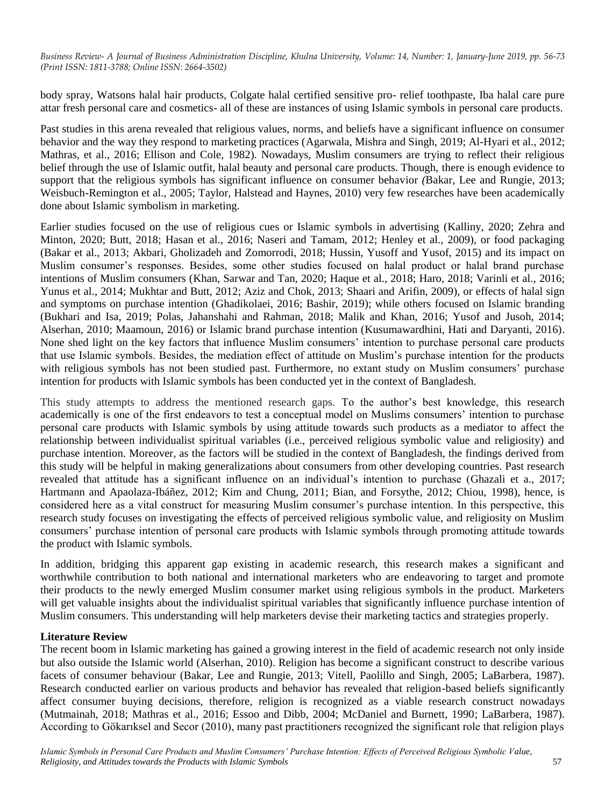body spray, Watsons halal hair products, Colgate halal certified sensitive pro- relief toothpaste, Iba halal care pure attar fresh personal care and cosmetics- all of these are instances of using Islamic symbols in personal care products.

Past studies in this arena revealed that religious values, norms, and beliefs have a significant influence on consumer behavior and the way they respond to marketing practices (Agarwala, Mishra and Singh, 2019; Al-Hyari et al., 2012; Mathras, et al., 2016; Ellison and Cole, 1982). Nowadays, Muslim consumers are trying to reflect their religious belief through the use of Islamic outfit, halal beauty and personal care products. Though, there is enough evidence to support that the religious symbols has significant influence on consumer behavior *(*Bakar, Lee and Rungie, 2013; Weisbuch-Remington et al., 2005; Taylor, Halstead and Haynes, 2010) very few researches have been academically done about Islamic symbolism in marketing.

Earlier studies focused on the use of religious cues or Islamic symbols in advertising (Kalliny, 2020; Zehra and Minton, 2020; Butt, 2018; Hasan et al., 2016; Naseri and Tamam, 2012; Henley et al., 2009), or food packaging (Bakar et al., 2013; Akbari, Gholizadeh and Zomorrodi, 2018; Hussin, Yusoff and Yusof, 2015) and its impact on Muslim consumer"s responses. Besides, some other studies focused on halal product or halal brand purchase intentions of Muslim consumers (Khan, Sarwar and Tan, 2020; Haque et al., 2018; Haro, 2018; Varinli et al., 2016; Yunus et al., 2014; Mukhtar and Butt, 2012; Aziz and Chok, 2013; Shaari and Arifin, 2009), or effects of halal sign and symptoms on purchase intention (Ghadikolaei, 2016; Bashir, 2019); while others focused on Islamic branding (Bukhari and Isa, 2019; Polas, Jahanshahi and Rahman, 2018; Malik and Khan, 2016; Yusof and Jusoh, 2014; Alserhan, 2010; Maamoun, 2016) or Islamic brand purchase intention (Kusumawardhini, Hati and Daryanti, 2016). None shed light on the key factors that influence Muslim consumers" intention to purchase personal care products that use Islamic symbols. Besides, the mediation effect of attitude on Muslim"s purchase intention for the products with religious symbols has not been studied past. Furthermore, no extant study on Muslim consumers' purchase intention for products with Islamic symbols has been conducted yet in the context of Bangladesh.

This study attempts to address the mentioned research gaps. To the author"s best knowledge, this research academically is one of the first endeavors to test a conceptual model on Muslims consumers" intention to purchase personal care products with Islamic symbols by using attitude towards such products as a mediator to affect the relationship between individualist spiritual variables (i.e., perceived religious symbolic value and religiosity) and purchase intention. Moreover, as the factors will be studied in the context of Bangladesh, the findings derived from this study will be helpful in making generalizations about consumers from other developing countries. Past research revealed that attitude has a significant influence on an individual's intention to purchase (Ghazali et a., 2017; Hartmann and Apaolaza-Ibáñez, 2012; Kim and Chung, 2011; Bian, and Forsythe, 2012; Chiou, 1998), hence, is considered here as a vital construct for measuring Muslim consumer"s purchase intention. In this perspective, this research study focuses on investigating the effects of perceived religious symbolic value, and religiosity on Muslim consumers" purchase intention of personal care products with Islamic symbols through promoting attitude towards the product with Islamic symbols.

In addition, bridging this apparent gap existing in academic research, this research makes a significant and worthwhile contribution to both national and international marketers who are endeavoring to target and promote their products to the newly emerged Muslim consumer market using religious symbols in the product. Marketers will get valuable insights about the individualist spiritual variables that significantly influence purchase intention of Muslim consumers. This understanding will help marketers devise their marketing tactics and strategies properly.

## **Literature Review**

The recent boom in Islamic marketing has gained a growing interest in the field of academic research not only inside but also outside the Islamic world (Alserhan, 2010). Religion has become a significant construct to describe various facets of consumer behaviour (Bakar, Lee and Rungie, 2013; Vitell, Paolillo and Singh, 2005; LaBarbera, 1987). Research conducted earlier on various products and behavior has revealed that religion-based beliefs significantly affect consumer buying decisions, therefore, religion is recognized as a viable research construct nowadays (Mutmainah, 2018; Mathras et al., 2016; Essoo and Dibb, 2004; McDaniel and Burnett, 1990; LaBarbera, 1987). According to Gökarıksel and Secor (2010), many past practitioners recognized the significant role that religion plays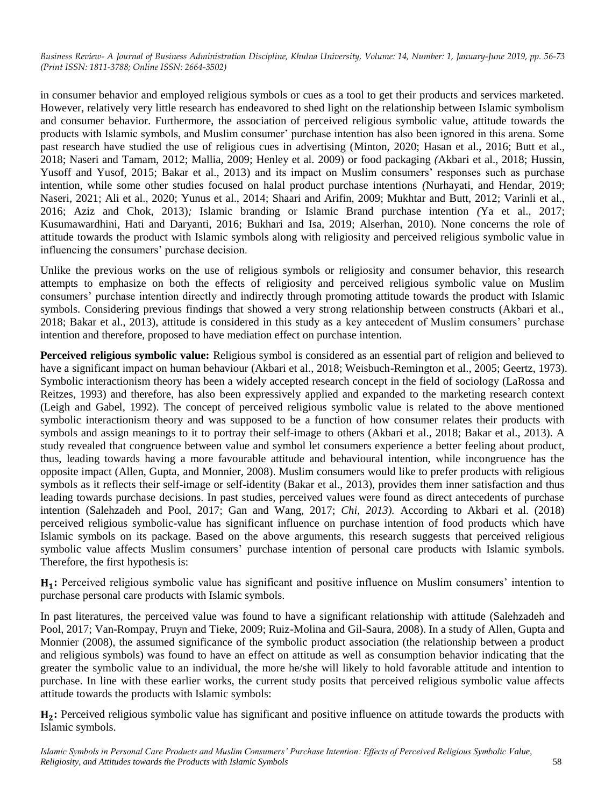in consumer behavior and employed religious symbols or cues as a tool to get their products and services marketed. However, relatively very little research has endeavored to shed light on the relationship between Islamic symbolism and consumer behavior. Furthermore, the association of perceived religious symbolic value, attitude towards the products with Islamic symbols, and Muslim consumer' purchase intention has also been ignored in this arena. Some past research have studied the use of religious cues in advertising (Minton, 2020; Hasan et al., 2016; Butt et al., 2018; Naseri and Tamam, 2012; Mallia, 2009; Henley et al. 2009) or food packaging *(*Akbari et al., 2018; Hussin, Yusoff and Yusof, 2015; Bakar et al., 2013) and its impact on Muslim consumers' responses such as purchase intention, while some other studies focused on halal product purchase intentions *(*Nurhayati, and Hendar, 2019; Naseri, 2021; Ali et al., 2020; Yunus et al., 2014; Shaari and Arifin, 2009; Mukhtar and Butt, 2012; Varinli et al., 2016; Aziz and Chok, 2013)*;* Islamic branding or Islamic Brand purchase intention *(*Ya et al., 2017; Kusumawardhini, Hati and Daryanti, 2016; Bukhari and Isa, 2019; Alserhan, 2010)*.* None concerns the role of attitude towards the product with Islamic symbols along with religiosity and perceived religious symbolic value in influencing the consumers' purchase decision.

Unlike the previous works on the use of religious symbols or religiosity and consumer behavior, this research attempts to emphasize on both the effects of religiosity and perceived religious symbolic value on Muslim consumers" purchase intention directly and indirectly through promoting attitude towards the product with Islamic symbols. Considering previous findings that showed a very strong relationship between constructs (Akbari et al., 2018; Bakar et al., 2013), attitude is considered in this study as a key antecedent of Muslim consumers" purchase intention and therefore, proposed to have mediation effect on purchase intention.

**Perceived religious symbolic value:** Religious symbol is considered as an essential part of religion and believed to have a significant impact on human behaviour (Akbari et al., 2018; Weisbuch-Remington et al., 2005; Geertz, 1973). Symbolic interactionism theory has been a widely accepted research concept in the field of sociology (LaRossa and Reitzes, 1993) and therefore, has also been expressively applied and expanded to the marketing research context (Leigh and Gabel, 1992). The concept of perceived religious symbolic value is related to the above mentioned symbolic interactionism theory and was supposed to be a function of how consumer relates their products with symbols and assign meanings to it to portray their self-image to others (Akbari et al., 2018; Bakar et al., 2013). A study revealed that congruence between value and symbol let consumers experience a better feeling about product, thus, leading towards having a more favourable attitude and behavioural intention, while incongruence has the opposite impact (Allen, Gupta, and Monnier, 2008). Muslim consumers would like to prefer products with religious symbols as it reflects their self-image or self-identity (Bakar et al., 2013), provides them inner satisfaction and thus leading towards purchase decisions. In past studies, perceived values were found as direct antecedents of purchase intention (Salehzadeh and Pool, 2017; Gan and Wang, 2017; *Chi, 2013).* According to Akbari et al. (2018) perceived religious symbolic-value has significant influence on purchase intention of food products which have Islamic symbols on its package. Based on the above arguments, this research suggests that perceived religious symbolic value affects Muslim consumers' purchase intention of personal care products with Islamic symbols. Therefore, the first hypothesis is:

**:** Perceived religious symbolic value has significant and positive influence on Muslim consumers" intention to purchase personal care products with Islamic symbols.

In past literatures, the perceived value was found to have a significant relationship with attitude (Salehzadeh and Pool, 2017; Van-Rompay, Pruyn and Tieke, 2009; Ruiz-Molina and Gil-Saura, 2008). In a study of Allen, Gupta and Monnier (2008), the assumed significance of the symbolic product association (the relationship between a product and religious symbols) was found to have an effect on attitude as well as consumption behavior indicating that the greater the symbolic value to an individual, the more he/she will likely to hold favorable attitude and intention to purchase. In line with these earlier works, the current study posits that perceived religious symbolic value affects attitude towards the products with Islamic symbols:

H<sub>2</sub>: Perceived religious symbolic value has significant and positive influence on attitude towards the products with Islamic symbols.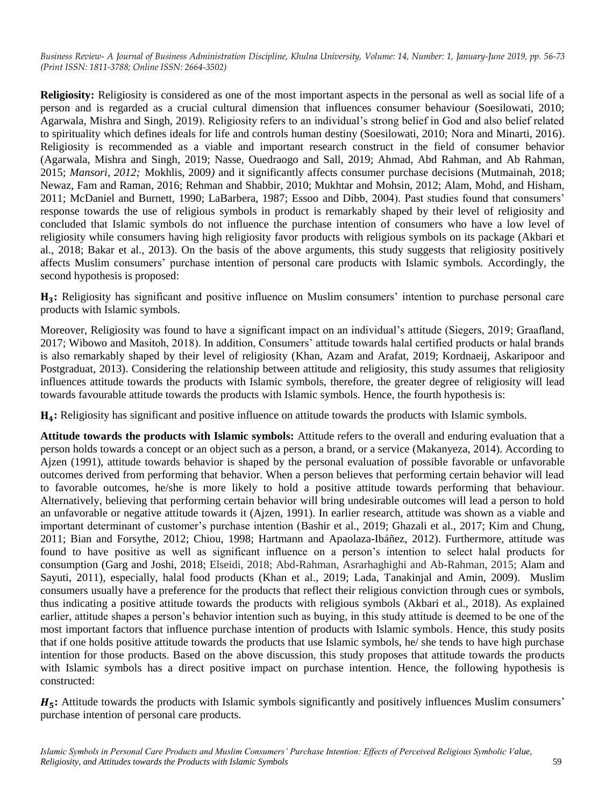**Religiosity:** Religiosity is considered as one of the most important aspects in the personal as well as social life of a person and is regarded as a crucial cultural dimension that influences consumer behaviour (Soesilowati, 2010; Agarwala, Mishra and Singh, 2019). Religiosity refers to an individual"s strong belief in God and also belief related to spirituality which defines ideals for life and controls human destiny (Soesilowati, 2010; Nora and Minarti, 2016). Religiosity is recommended as a viable and important research construct in the field of consumer behavior (Agarwala, Mishra and Singh, 2019; Nasse, Ouedraogo and Sall, 2019; Ahmad, Abd Rahman, and Ab Rahman, 2015; *Mansori, 2012;* Mokhlis, 2009*)* and it significantly affects consumer purchase decisions (Mutmainah, 2018; Newaz, Fam and Raman, 2016; Rehman and Shabbir, 2010; Mukhtar and Mohsin, 2012; Alam, Mohd, and Hisham, 2011; McDaniel and Burnett, 1990; LaBarbera, 1987; Essoo and Dibb, 2004). Past studies found that consumers" response towards the use of religious symbols in product is remarkably shaped by their level of religiosity and concluded that Islamic symbols do not influence the purchase intention of consumers who have a low level of religiosity while consumers having high religiosity favor products with religious symbols on its package (Akbari et al., 2018; Bakar et al., 2013). On the basis of the above arguments, this study suggests that religiosity positively affects Muslim consumers" purchase intention of personal care products with Islamic symbols. Accordingly, the second hypothesis is proposed:

**:** Religiosity has significant and positive influence on Muslim consumers" intention to purchase personal care products with Islamic symbols.

Moreover, Religiosity was found to have a significant impact on an individual's attitude (Siegers, 2019; Graafland, 2017; Wibowo and Masitoh, 2018). In addition, Consumers" attitude towards halal certified products or halal brands is also remarkably shaped by their level of religiosity (Khan, Azam and Arafat, 2019; Kordnaeij, Askaripoor and Postgraduat, 2013). Considering the relationship between attitude and religiosity, this study assumes that religiosity influences attitude towards the products with Islamic symbols, therefore, the greater degree of religiosity will lead towards favourable attitude towards the products with Islamic symbols. Hence, the fourth hypothesis is:

**:** Religiosity has significant and positive influence on attitude towards the products with Islamic symbols.

**Attitude towards the products with Islamic symbols:** Attitude refers to the overall and enduring evaluation that a person holds towards a concept or an object such as a person, a brand, or a service (Makanyeza, 2014). According to Ajzen (1991), attitude towards behavior is shaped by the personal evaluation of possible favorable or unfavorable outcomes derived from performing that behavior. When a person believes that performing certain behavior will lead to favorable outcomes, he/she is more likely to hold a positive attitude towards performing that behaviour. Alternatively, believing that performing certain behavior will bring undesirable outcomes will lead a person to hold an unfavorable or negative attitude towards it (Ajzen, 1991). In earlier research, attitude was shown as a viable and important determinant of customer's purchase intention (Bashir et al., 2019; Ghazali et al., 2017; Kim and Chung, 2011; Bian and Forsythe, 2012; Chiou, 1998; Hartmann and Apaolaza-Ibáñez, 2012). Furthermore, attitude was found to have positive as well as significant influence on a person"s intention to select halal products for consumption (Garg and Joshi, 2018; Elseidi, 2018; Abd-Rahman, Asrarhaghighi and Ab-Rahman, 2015; Alam and Sayuti, 2011), especially, halal food products (Khan et al., 2019; Lada, Tanakinjal and Amin, 2009). Muslim consumers usually have a preference for the products that reflect their religious conviction through cues or symbols, thus indicating a positive attitude towards the products with religious symbols (Akbari et al., 2018). As explained earlier, attitude shapes a person"s behavior intention such as buying, in this study attitude is deemed to be one of the most important factors that influence purchase intention of products with Islamic symbols. Hence, this study posits that if one holds positive attitude towards the products that use Islamic symbols, he/ she tends to have high purchase intention for those products. Based on the above discussion, this study proposes that attitude towards the products with Islamic symbols has a direct positive impact on purchase intention. Hence, the following hypothesis is constructed:

 $H_{\sigma}$ : Attitude towards the products with Islamic symbols significantly and positively influences Muslim consumers' purchase intention of personal care products.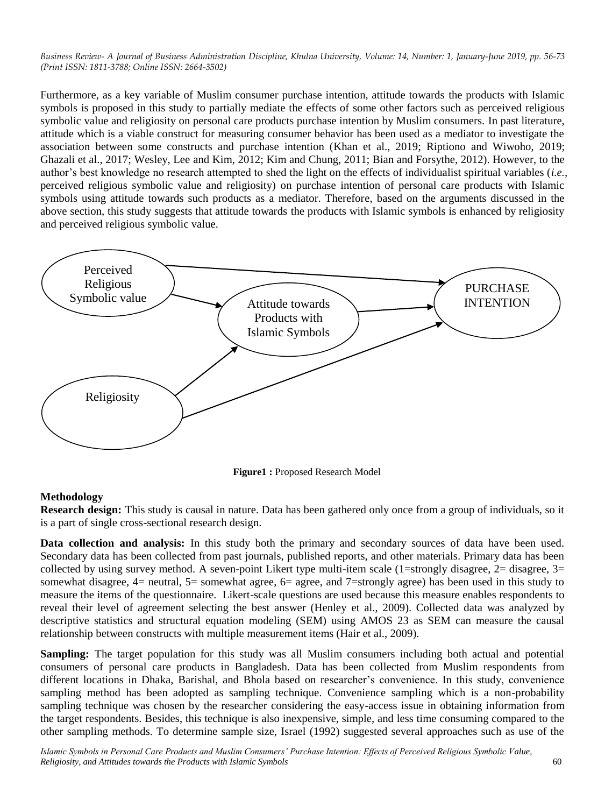Furthermore, as a key variable of Muslim consumer purchase intention, attitude towards the products with Islamic symbols is proposed in this study to partially mediate the effects of some other factors such as perceived religious symbolic value and religiosity on personal care products purchase intention by Muslim consumers. In past literature, attitude which is a viable construct for measuring consumer behavior has been used as a mediator to investigate the association between some constructs and purchase intention (Khan et al., 2019; Riptiono and Wiwoho, 2019; Ghazali et al., 2017; Wesley, Lee and Kim, 2012; Kim and Chung, 2011; Bian and Forsythe, 2012). However, to the author"s best knowledge no research attempted to shed the light on the effects of individualist spiritual variables (*i.e.,*  perceived religious symbolic value and religiosity) on purchase intention of personal care products with Islamic symbols using attitude towards such products as a mediator. Therefore, based on the arguments discussed in the above section, this study suggests that attitude towards the products with Islamic symbols is enhanced by religiosity and perceived religious symbolic value.



**Figure1 :** Proposed Research Model

## **Methodology**

**Research design:** This study is causal in nature. Data has been gathered only once from a group of individuals, so it is a part of single cross-sectional research design.

**Data collection and analysis:** In this study both the primary and secondary sources of data have been used. Secondary data has been collected from past journals, published reports, and other materials. Primary data has been collected by using survey method. A seven-point Likert type multi-item scale  $(1=$ strongly disagree,  $2=$  disagree,  $3=$ somewhat disagree,  $4=$  neutral,  $5=$  somewhat agree,  $6=$  agree, and  $7=$ strongly agree) has been used in this study to measure the items of the questionnaire. Likert-scale questions are used because this measure enables respondents to reveal their level of agreement selecting the best answer (Henley et al., 2009). Collected data was analyzed by descriptive statistics and structural equation modeling (SEM) using AMOS 23 as SEM can measure the causal relationship between constructs with multiple measurement items (Hair et al., 2009).

**Sampling:** The target population for this study was all Muslim consumers including both actual and potential consumers of personal care products in Bangladesh. Data has been collected from Muslim respondents from different locations in Dhaka, Barishal, and Bhola based on researcher"s convenience. In this study, convenience sampling method has been adopted as sampling technique. Convenience sampling which is a non-probability sampling technique was chosen by the researcher considering the easy-access issue in obtaining information from the target respondents. Besides, this technique is also inexpensive, simple, and less time consuming compared to the other sampling methods. To determine sample size, Israel (1992) suggested several approaches such as use of the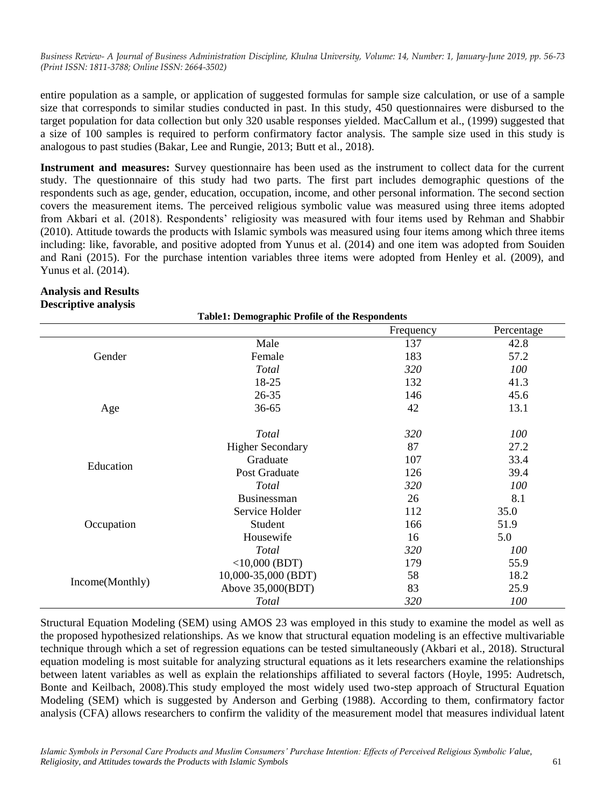entire population as a sample, or application of suggested formulas for sample size calculation, or use of a sample size that corresponds to similar studies conducted in past. In this study, 450 questionnaires were disbursed to the target population for data collection but only 320 usable responses yielded. MacCallum et al., (1999) suggested that a size of 100 samples is required to perform confirmatory factor analysis. The sample size used in this study is analogous to past studies (Bakar, Lee and Rungie, 2013; Butt et al., 2018).

**Instrument and measures:** Survey questionnaire has been used as the instrument to collect data for the current study. The questionnaire of this study had two parts. The first part includes demographic questions of the respondents such as age, gender, education, occupation, income, and other personal information. The second section covers the measurement items. The perceived religious symbolic value was measured using three items adopted from Akbari et al. (2018). Respondents' religiosity was measured with four items used by Rehman and Shabbir (2010). Attitude towards the products with Islamic symbols was measured using four items among which three items including: like, favorable, and positive adopted from Yunus et al. (2014) and one item was adopted from Souiden and Rani (2015). For the purchase intention variables three items were adopted from Henley et al. (2009), and Yunus et al. (2014).

|                 | <b>Table1: Demographic Profile of the Respondents</b> |            |            |
|-----------------|-------------------------------------------------------|------------|------------|
|                 |                                                       | Frequency  | Percentage |
|                 | Male                                                  | 137        | 42.8       |
| Gender          | Female                                                | 183        | 57.2       |
|                 | Total                                                 | 320        | 100        |
|                 | 18-25                                                 | 132        | 41.3       |
|                 | 26-35                                                 | 146        | 45.6       |
| Age             | $36 - 65$                                             | 42         | 13.1       |
|                 | Total                                                 | 320        | 100        |
|                 | <b>Higher Secondary</b>                               | 87         | 27.2       |
|                 | Graduate                                              | 107        | 33.4       |
| Education       | Post Graduate                                         | 126        | 39.4       |
|                 | Total                                                 | <i>320</i> | 100        |
|                 | <b>Businessman</b>                                    | 26         | 8.1        |
|                 | Service Holder                                        | 112        | 35.0       |
| Occupation      | Student                                               | 166        | 51.9       |
|                 | Housewife                                             | 16         | 5.0        |
|                 | Total                                                 | 320        | 100        |
|                 | $<10,000$ (BDT)                                       | 179        | 55.9       |
|                 | 10,000-35,000 (BDT)                                   | 58         | 18.2       |
| Income(Monthly) | Above 35,000(BDT)                                     | 83         | 25.9       |
|                 | Total                                                 | 320        | 100        |

#### **Analysis and Results Descriptive analysis**

Structural Equation Modeling (SEM) using AMOS 23 was employed in this study to examine the model as well as the proposed hypothesized relationships. As we know that structural equation modeling is an effective multivariable technique through which a set of regression equations can be tested simultaneously (Akbari et al., 2018). Structural equation modeling is most suitable for analyzing structural equations as it lets researchers examine the relationships between latent variables as well as explain the relationships affiliated to several factors (Hoyle, 1995: Audretsch, Bonte and Keilbach, 2008).This study employed the most widely used two-step approach of Structural Equation Modeling (SEM) which is suggested by Anderson and Gerbing (1988). According to them, confirmatory factor analysis (CFA) allows researchers to confirm the validity of the measurement model that measures individual latent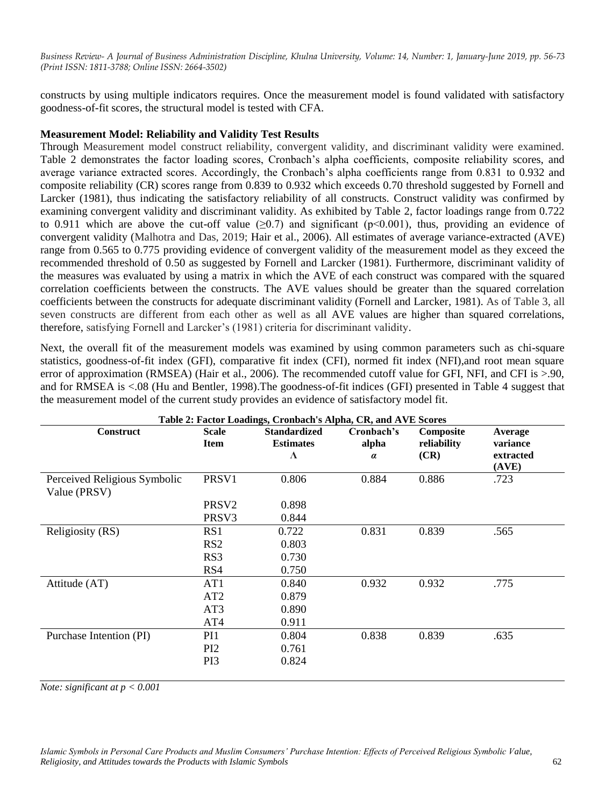constructs by using multiple indicators requires. Once the measurement model is found validated with satisfactory goodness-of-fit scores, the structural model is tested with CFA.

#### **Measurement Model: Reliability and Validity Test Results**

Through Measurement model construct reliability, convergent validity, and discriminant validity were examined. Table 2 demonstrates the factor loading scores, Cronbach"s alpha coefficients, composite reliability scores, and average variance extracted scores. Accordingly, the Cronbach's alpha coefficients range from 0.831 to 0.932 and composite reliability (CR) scores range from 0.839 to 0.932 which exceeds 0.70 threshold suggested by Fornell and Larcker (1981), thus indicating the satisfactory reliability of all constructs. Construct validity was confirmed by examining convergent validity and discriminant validity. As exhibited by Table 2, factor loadings range from 0.722 to 0.911 which are above the cut-off value ( $\geq 0.7$ ) and significant ( $p \leq 0.001$ ), thus, providing an evidence of convergent validity (Malhotra and Das, 2019; Hair et al., 2006). All estimates of average variance-extracted (AVE) range from 0.565 to 0.775 providing evidence of convergent validity of the measurement model as they exceed the recommended threshold of 0.50 as suggested by Fornell and Larcker (1981). Furthermore, discriminant validity of the measures was evaluated by using a matrix in which the AVE of each construct was compared with the squared correlation coefficients between the constructs. The AVE values should be greater than the squared correlation coefficients between the constructs for adequate discriminant validity (Fornell and Larcker, 1981). As of Table 3, all seven constructs are different from each other as well as all AVE values are higher than squared correlations, therefore, satisfying Fornell and Larcker"s (1981) criteria for discriminant validity.

Next, the overall fit of the measurement models was examined by using common parameters such as chi-square statistics, goodness-of-fit index (GFI), comparative fit index (CFI), normed fit index (NFI),and root mean square error of approximation (RMSEA) (Hair et al., 2006). The recommended cutoff value for GFI, NFI, and CFI is >.90, and for RMSEA is <.08 (Hu and Bentler, 1998).The goodness-of-fit indices (GFI) presented in Table 4 suggest that the measurement model of the current study provides an evidence of satisfactory model fit.

| <b>Construct</b>                             | <b>Scale</b>      | <b>Standardized</b> | Cronbach's | Composite   | Average            |
|----------------------------------------------|-------------------|---------------------|------------|-------------|--------------------|
|                                              | <b>Item</b>       | <b>Estimates</b>    | alpha      | reliability | variance           |
|                                              |                   | $\Lambda$           | $\alpha$   | (CR)        | extracted<br>(AVE) |
| Perceived Religious Symbolic<br>Value (PRSV) | PRSV <sub>1</sub> | 0.806               | 0.884      | 0.886       | .723               |
|                                              | PRSV <sub>2</sub> | 0.898               |            |             |                    |
|                                              | PRSV <sub>3</sub> | 0.844               |            |             |                    |
| Religiosity (RS)                             | RS1               | 0.722               | 0.831      | 0.839       | .565               |
|                                              | RS <sub>2</sub>   | 0.803               |            |             |                    |
|                                              | RS3               | 0.730               |            |             |                    |
|                                              | RS4               | 0.750               |            |             |                    |
| Attitude (AT)                                | AT1               | 0.840               | 0.932      | 0.932       | .775               |
|                                              | AT2               | 0.879               |            |             |                    |
|                                              | AT3               | 0.890               |            |             |                    |
|                                              | AT4               | 0.911               |            |             |                    |
| Purchase Intention (PI)                      | PI1               | 0.804               | 0.838      | 0.839       | .635               |
|                                              | PI <sub>2</sub>   | 0.761               |            |             |                    |
|                                              | PI3               | 0.824               |            |             |                    |

*Note: significant at p < 0.001*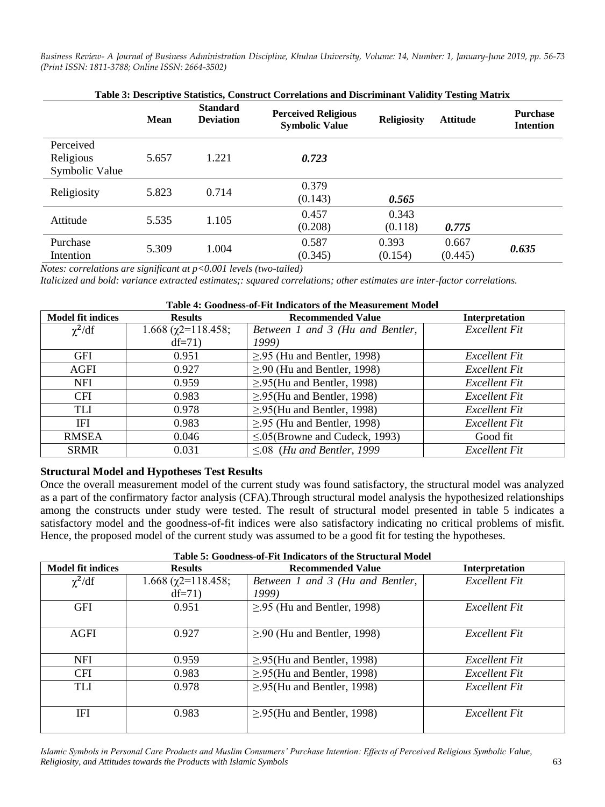| Table 3: Descriptive Statistics, Construct Correlations and Discriminant Validity Testing Matrix |       |                                     |                                                     |                    |                 |                                     |
|--------------------------------------------------------------------------------------------------|-------|-------------------------------------|-----------------------------------------------------|--------------------|-----------------|-------------------------------------|
|                                                                                                  | Mean  | <b>Standard</b><br><b>Deviation</b> | <b>Perceived Religious</b><br><b>Symbolic Value</b> | <b>Religiosity</b> | <b>Attitude</b> | <b>Purchase</b><br><b>Intention</b> |
| Perceived                                                                                        |       |                                     |                                                     |                    |                 |                                     |
| Religious                                                                                        | 5.657 | 1.221                               | 0.723                                               |                    |                 |                                     |
| Symbolic Value                                                                                   |       |                                     |                                                     |                    |                 |                                     |
|                                                                                                  |       |                                     | 0.379                                               |                    |                 |                                     |
| Religiosity                                                                                      | 5.823 | 0.714                               | (0.143)                                             | 0.565              |                 |                                     |
|                                                                                                  |       |                                     | 0.457                                               | 0.343              |                 |                                     |
| Attitude                                                                                         | 5.535 | 1.105                               | (0.208)                                             | (0.118)            | 0.775           |                                     |
| Purchase                                                                                         |       |                                     | 0.587                                               | 0.393              | 0.667           |                                     |
| Intention                                                                                        | 5.309 | 1.004                               | (0.345)                                             | (0.154)            | (0.445)         | 0.635                               |

*Notes: correlations are significant at p<0.001 levels (two-tailed)*

*Italicized and bold: variance extracted estimates;: squared correlations; other estimates are inter-factor correlations.*

| Table 4: Goodness-of-Fit Indicators of the Measurement Model |                             |                                       |                |  |  |  |
|--------------------------------------------------------------|-----------------------------|---------------------------------------|----------------|--|--|--|
| <b>Model fit indices</b>                                     | <b>Results</b>              | <b>Recommended Value</b>              | Interpretation |  |  |  |
| $\chi^2/df$                                                  | $1.668$ ( $\chi$ 2=118.458; | Between 1 and 3 (Hu and Bentler,      | Excellent Fit  |  |  |  |
|                                                              | $df=71$                     | 1999)                                 |                |  |  |  |
| <b>GFI</b>                                                   | 0.951                       | $\geq$ .95 (Hu and Bentler, 1998)     | Excellent Fit  |  |  |  |
| AGFI                                                         | 0.927                       | $\geq$ .90 (Hu and Bentler, 1998)     | Excellent Fit  |  |  |  |
| <b>NFI</b>                                                   | 0.959                       | $\geq$ .95(Hu and Bentler, 1998)      | Excellent Fit  |  |  |  |
| <b>CFI</b>                                                   | 0.983                       | $\geq$ .95(Hu and Bentler, 1998)      | Excellent Fit  |  |  |  |
| TLI                                                          | 0.978                       | $\geq$ .95(Hu and Bentler, 1998)      | Excellent Fit  |  |  |  |
| IFI                                                          | 0.983                       | $\geq$ .95 (Hu and Bentler, 1998)     | Excellent Fit  |  |  |  |
| <b>RMSEA</b>                                                 | 0.046                       | $\leq 0.05$ (Browne and Cudeck, 1993) | Good fit       |  |  |  |
| <b>SRMR</b>                                                  | 0.031                       | $\leq 0.08$ (Hu and Bentler, 1999)    | Excellent Fit  |  |  |  |

## **Structural Model and Hypotheses Test Results**

Once the overall measurement model of the current study was found satisfactory, the structural model was analyzed as a part of the confirmatory factor analysis (CFA).Through structural model analysis the hypothesized relationships among the constructs under study were tested. The result of structural model presented in table 5 indicates a satisfactory model and the goodness-of-fit indices were also satisfactory indicating no critical problems of misfit. Hence, the proposed model of the current study was assumed to be a good fit for testing the hypotheses.

| Table 5: Goodness-of-Fit Indicators of the Structural Model |                                        |                                           |                |  |  |  |
|-------------------------------------------------------------|----------------------------------------|-------------------------------------------|----------------|--|--|--|
| <b>Model fit indices</b>                                    | <b>Results</b>                         | <b>Recommended Value</b>                  | Interpretation |  |  |  |
| $\chi^2/df$                                                 | $1.668$ ( $\chi$ 2=118.458;<br>$df=71$ | Between 1 and 3 (Hu and Bentler,<br>1999) | Excellent Fit  |  |  |  |
| <b>GFI</b>                                                  | 0.951                                  | $\geq$ .95 (Hu and Bentler, 1998)         | Excellent Fit  |  |  |  |
| AGFI                                                        | 0.927                                  | $\geq$ .90 (Hu and Bentler, 1998)         | Excellent Fit  |  |  |  |
| <b>NFI</b>                                                  | 0.959                                  | $\geq$ .95(Hu and Bentler, 1998)          | Excellent Fit  |  |  |  |
| <b>CFI</b>                                                  | 0.983                                  | $\geq$ .95(Hu and Bentler, 1998)          | Excellent Fit  |  |  |  |
| TLI                                                         | 0.978                                  | $\geq$ .95(Hu and Bentler, 1998)          | Excellent Fit  |  |  |  |
| IFI                                                         | 0.983                                  | $\geq$ .95(Hu and Bentler, 1998)          | Excellent Fit  |  |  |  |

*Islamic Symbols in Personal Care Products and Muslim Consumers' Purchase Intention: Effects of Perceived Religious Symbolic Value, Religiosity, and Attitudes towards the Products with Islamic Symbols* 63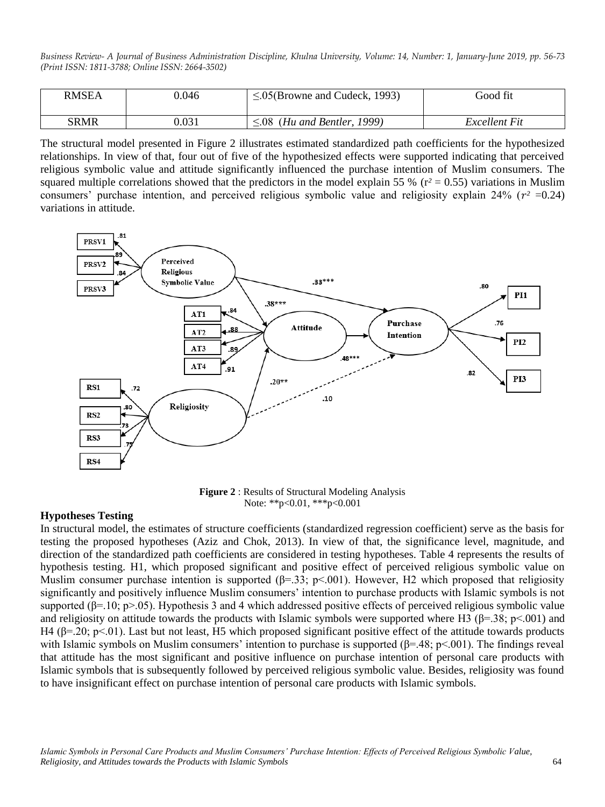| <b>RMSEA</b> | 0.046 | $\leq 0.05$ (Browne and Cudeck, 1993) | Good fit      |
|--------------|-------|---------------------------------------|---------------|
| <b>SRMR</b>  | 0.031 | (Hu and Bentler, 1999)<br>∶08         | Excellent Fit |

The structural model presented in Figure 2 illustrates estimated standardized path coefficients for the hypothesized relationships. In view of that, four out of five of the hypothesized effects were supported indicating that perceived religious symbolic value and attitude significantly influenced the purchase intention of Muslim consumers. The squared multiple correlations showed that the predictors in the model explain 55 % ( $r^2 = 0.55$ ) variations in Muslim consumers' purchase intention, and perceived religious symbolic value and religiosity explain 24% ( $r^2$  =0.24) variations in attitude.



**Figure 2** : Results of Structural Modeling Analysis Note: \*\*p<0.01, \*\*\*p<0.001

#### **Hypotheses Testing**

In structural model, the estimates of structure coefficients (standardized regression coefficient) serve as the basis for testing the proposed hypotheses (Aziz and Chok, 2013). In view of that, the significance level, magnitude, and direction of the standardized path coefficients are considered in testing hypotheses. Table 4 represents the results of hypothesis testing. H1, which proposed significant and positive effect of perceived religious symbolic value on Muslim consumer purchase intention is supported ( $\beta$ =.33; p<.001). However, H2 which proposed that religiosity significantly and positively influence Muslim consumers' intention to purchase products with Islamic symbols is not supported ( $\beta$ =.10; p>.05). Hypothesis 3 and 4 which addressed positive effects of perceived religious symbolic value and religiosity on attitude towards the products with Islamic symbols were supported where H3 ( $\beta$ =.38; p<.001) and H4 ( $\beta$ =.20; p<.01). Last but not least, H5 which proposed significant positive effect of the attitude towards products with Islamic symbols on Muslim consumers' intention to purchase is supported  $(\beta = .48; p < .001)$ . The findings reveal that attitude has the most significant and positive influence on purchase intention of personal care products with Islamic symbols that is subsequently followed by perceived religious symbolic value. Besides, religiosity was found to have insignificant effect on purchase intention of personal care products with Islamic symbols.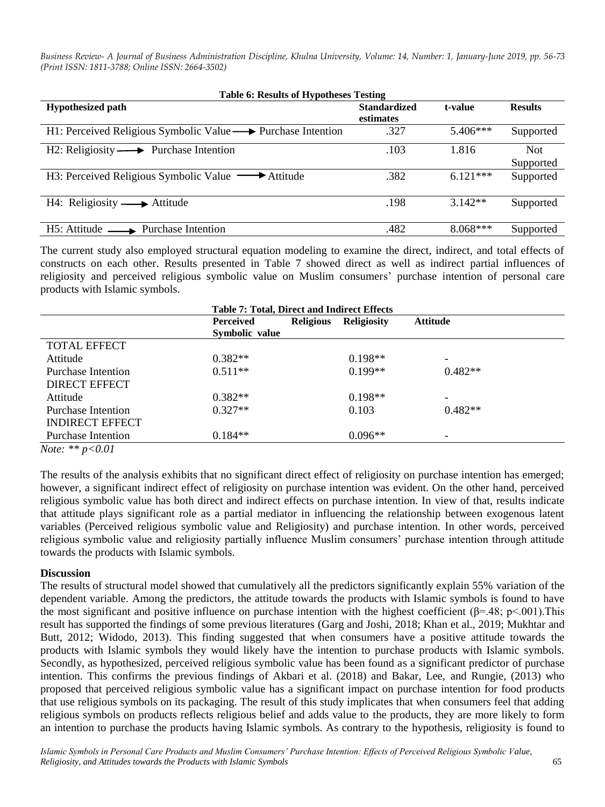| <b>Table 6: Results of Hypotheses Testing</b>               |                     |            |                |  |  |  |
|-------------------------------------------------------------|---------------------|------------|----------------|--|--|--|
| <b>Hypothesized path</b>                                    | <b>Standardized</b> | t-value    | <b>Results</b> |  |  |  |
|                                                             | estimates           |            |                |  |  |  |
| H1: Perceived Religious Symbolic Value → Purchase Intention | .327                | $5.406***$ | Supported      |  |  |  |
| $H2$ : Religiosity $\longrightarrow$ Purchase Intention     | .103                | 1.816      | <b>Not</b>     |  |  |  |
|                                                             |                     |            | Supported      |  |  |  |
| H3: Perceived Religious Symbolic Value — Attitude           | .382                | $6.121***$ | Supported      |  |  |  |
|                                                             |                     |            |                |  |  |  |
| $H4: Religiosity \longrightarrow Atitude$                   | .198                | $3.142**$  | Supported      |  |  |  |
|                                                             |                     |            |                |  |  |  |
| $H5$ : Attitude $\longrightarrow$ Purchase Intention        | .482                | $8.068***$ | Supported      |  |  |  |

The current study also employed structural equation modeling to examine the direct, indirect, and total effects of constructs on each other. Results presented in Table 7 showed direct as well as indirect partial influences of religiosity and perceived religious symbolic value on Muslim consumers" purchase intention of personal care products with Islamic symbols.

|                            | <b>Table 7: Total, Direct and Indirect Effects</b> |                  |                    |                 |  |
|----------------------------|----------------------------------------------------|------------------|--------------------|-----------------|--|
|                            | Perceived                                          | <b>Religious</b> | <b>Religiosity</b> | <b>Attitude</b> |  |
|                            | Symbolic value                                     |                  |                    |                 |  |
| <b>TOTAL EFFECT</b>        |                                                    |                  |                    |                 |  |
| Attitude                   | $0.382**$                                          |                  | $0.198**$          |                 |  |
| Purchase Intention         | $0.511**$                                          |                  | $0.199**$          | $0.482**$       |  |
| <b>DIRECT EFFECT</b>       |                                                    |                  |                    |                 |  |
| Attitude                   | $0.382**$                                          |                  | $0.198**$          |                 |  |
| <b>Purchase Intention</b>  | $0.327**$                                          |                  | 0.103              | $0.482**$       |  |
| <b>INDIRECT EFFECT</b>     |                                                    |                  |                    |                 |  |
| <b>Purchase Intention</b>  | $0.184**$                                          |                  | $0.096**$          | -               |  |
| <i>Note:</i> ** $p < 0.01$ |                                                    |                  |                    |                 |  |

The results of the analysis exhibits that no significant direct effect of religiosity on purchase intention has emerged; however, a significant indirect effect of religiosity on purchase intention was evident. On the other hand, perceived religious symbolic value has both direct and indirect effects on purchase intention. In view of that, results indicate that attitude plays significant role as a partial mediator in influencing the relationship between exogenous latent variables (Perceived religious symbolic value and Religiosity) and purchase intention. In other words, perceived religious symbolic value and religiosity partially influence Muslim consumers" purchase intention through attitude towards the products with Islamic symbols.

## **Discussion**

The results of structural model showed that cumulatively all the predictors significantly explain 55% variation of the dependent variable. Among the predictors, the attitude towards the products with Islamic symbols is found to have the most significant and positive influence on purchase intention with the highest coefficient ( $\beta$ =.48; p<.001). This result has supported the findings of some previous literatures (Garg and Joshi, 2018; Khan et al., 2019; Mukhtar and Butt, 2012; Widodo, 2013). This finding suggested that when consumers have a positive attitude towards the products with Islamic symbols they would likely have the intention to purchase products with Islamic symbols. Secondly, as hypothesized, perceived religious symbolic value has been found as a significant predictor of purchase intention. This confirms the previous findings of Akbari et al. (2018) and Bakar, Lee, and Rungie, (2013) who proposed that perceived religious symbolic value has a significant impact on purchase intention for food products that use religious symbols on its packaging. The result of this study implicates that when consumers feel that adding religious symbols on products reflects religious belief and adds value to the products, they are more likely to form an intention to purchase the products having Islamic symbols. As contrary to the hypothesis, religiosity is found to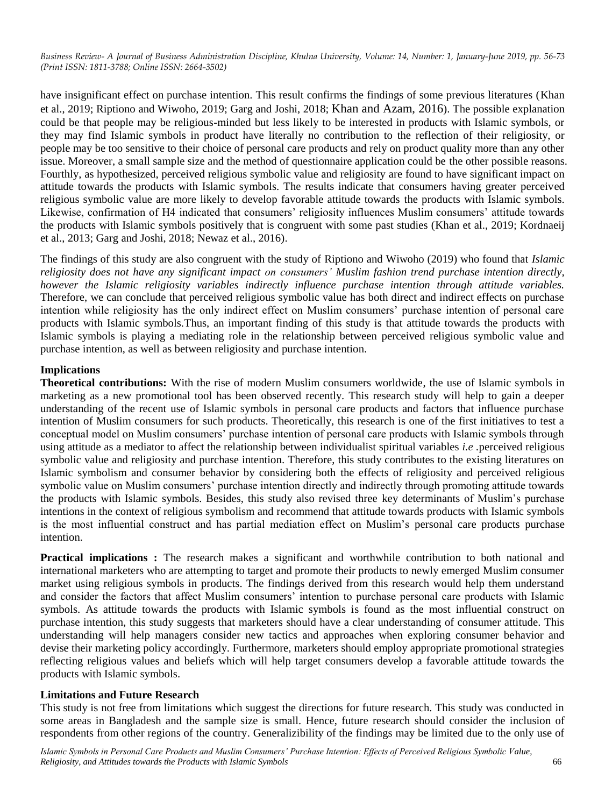have insignificant effect on purchase intention. This result confirms the findings of some previous literatures (Khan et al., 2019; Riptiono and Wiwoho, 2019; Garg and Joshi, 2018; Khan and Azam, 2016). The possible explanation could be that people may be religious-minded but less likely to be interested in products with Islamic symbols, or they may find Islamic symbols in product have literally no contribution to the reflection of their religiosity, or people may be too sensitive to their choice of personal care products and rely on product quality more than any other issue. Moreover, a small sample size and the method of questionnaire application could be the other possible reasons. Fourthly, as hypothesized, perceived religious symbolic value and religiosity are found to have significant impact on attitude towards the products with Islamic symbols. The results indicate that consumers having greater perceived religious symbolic value are more likely to develop favorable attitude towards the products with Islamic symbols. Likewise, confirmation of H4 indicated that consumers' religiosity influences Muslim consumers' attitude towards the products with Islamic symbols positively that is congruent with some past studies (Khan et al., 2019; Kordnaeij et al., 2013; Garg and Joshi, 2018; Newaz et al., 2016).

The findings of this study are also congruent with the study of Riptiono and Wiwoho (2019) who found that *Islamic religiosity does not have any significant impact on consumers' Muslim fashion trend purchase intention directly, however the Islamic religiosity variables indirectly influence purchase intention through attitude variables.* Therefore, we can conclude that perceived religious symbolic value has both direct and indirect effects on purchase intention while religiosity has the only indirect effect on Muslim consumers" purchase intention of personal care products with Islamic symbols.Thus, an important finding of this study is that attitude towards the products with Islamic symbols is playing a mediating role in the relationship between perceived religious symbolic value and purchase intention, as well as between religiosity and purchase intention.

# **Implications**

**Theoretical contributions:** With the rise of modern Muslim consumers worldwide, the use of Islamic symbols in marketing as a new promotional tool has been observed recently. This research study will help to gain a deeper understanding of the recent use of Islamic symbols in personal care products and factors that influence purchase intention of Muslim consumers for such products. Theoretically, this research is one of the first initiatives to test a conceptual model on Muslim consumers" purchase intention of personal care products with Islamic symbols through using attitude as a mediator to affect the relationship between individualist spiritual variables *i.e .*perceived religious symbolic value and religiosity and purchase intention. Therefore, this study contributes to the existing literatures on Islamic symbolism and consumer behavior by considering both the effects of religiosity and perceived religious symbolic value on Muslim consumers' purchase intention directly and indirectly through promoting attitude towards the products with Islamic symbols. Besides, this study also revised three key determinants of Muslim"s purchase intentions in the context of religious symbolism and recommend that attitude towards products with Islamic symbols is the most influential construct and has partial mediation effect on Muslim"s personal care products purchase intention.

**Practical implications :** The research makes a significant and worthwhile contribution to both national and international marketers who are attempting to target and promote their products to newly emerged Muslim consumer market using religious symbols in products. The findings derived from this research would help them understand and consider the factors that affect Muslim consumers' intention to purchase personal care products with Islamic symbols. As attitude towards the products with Islamic symbols is found as the most influential construct on purchase intention, this study suggests that marketers should have a clear understanding of consumer attitude. This understanding will help managers consider new tactics and approaches when exploring consumer behavior and devise their marketing policy accordingly. Furthermore, marketers should employ appropriate promotional strategies reflecting religious values and beliefs which will help target consumers develop a favorable attitude towards the products with Islamic symbols.

## **Limitations and Future Research**

This study is not free from limitations which suggest the directions for future research. This study was conducted in some areas in Bangladesh and the sample size is small. Hence, future research should consider the inclusion of respondents from other regions of the country. Generalizibility of the findings may be limited due to the only use of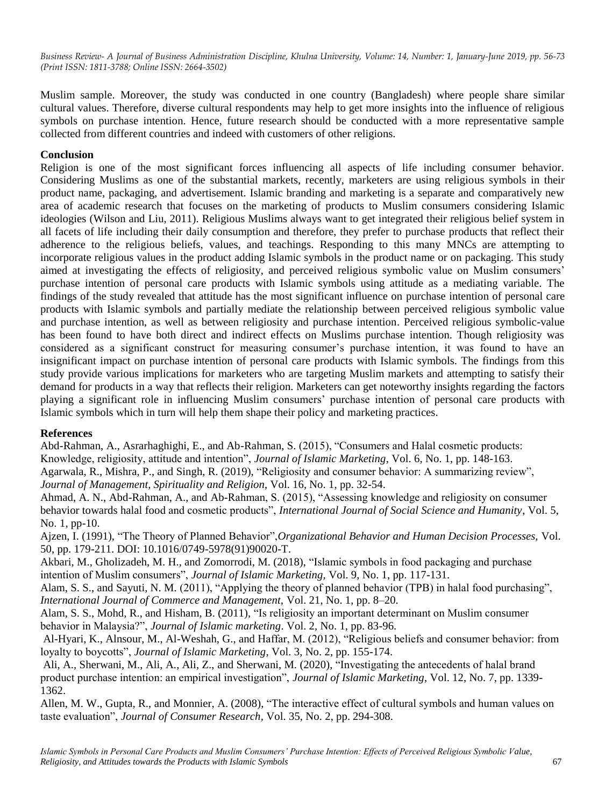Muslim sample. Moreover, the study was conducted in one country (Bangladesh) where people share similar cultural values. Therefore, diverse cultural respondents may help to get more insights into the influence of religious symbols on purchase intention. Hence, future research should be conducted with a more representative sample collected from different countries and indeed with customers of other religions.

# **Conclusion**

Religion is one of the most significant forces influencing all aspects of life including consumer behavior. Considering Muslims as one of the substantial markets, recently, marketers are using religious symbols in their product name, packaging, and advertisement. Islamic branding and marketing is a separate and comparatively new area of academic research that focuses on the marketing of products to Muslim consumers considering Islamic ideologies (Wilson and Liu, 2011). Religious Muslims always want to get integrated their religious belief system in all facets of life including their daily consumption and therefore, they prefer to purchase products that reflect their adherence to the religious beliefs, values, and teachings. Responding to this many MNCs are attempting to incorporate religious values in the product adding Islamic symbols in the product name or on packaging. This study aimed at investigating the effects of religiosity, and perceived religious symbolic value on Muslim consumers" purchase intention of personal care products with Islamic symbols using attitude as a mediating variable. The findings of the study revealed that attitude has the most significant influence on purchase intention of personal care products with Islamic symbols and partially mediate the relationship between perceived religious symbolic value and purchase intention, as well as between religiosity and purchase intention. Perceived religious symbolic-value has been found to have both direct and indirect effects on Muslims purchase intention. Though religiosity was considered as a significant construct for measuring consumer"s purchase intention, it was found to have an insignificant impact on purchase intention of personal care products with Islamic symbols. The findings from this study provide various implications for marketers who are targeting Muslim markets and attempting to satisfy their demand for products in a way that reflects their religion. Marketers can get noteworthy insights regarding the factors playing a significant role in influencing Muslim consumers" purchase intention of personal care products with Islamic symbols which in turn will help them shape their policy and marketing practices.

## **References**

Abd-Rahman, A., Asrarhaghighi, E., and Ab-Rahman, S. (2015), "Consumers and Halal cosmetic products:

Knowledge, religiosity, attitude and intention", *Journal of Islamic Marketing*, Vol. 6, No. 1, pp. 148-163.

Agarwala, R., Mishra, P., and Singh, R. (2019), "Religiosity and consumer behavior: A summarizing review", *Journal of Management, Spirituality and Religion*, Vol. 16, No. 1, pp. 32-54.

Ahmad, A. N., Abd-Rahman, A., and Ab-Rahman, S. (2015), "Assessing knowledge and religiosity on consumer behavior towards halal food and cosmetic products", *International Journal of Social Science and Humanity*, Vol. 5, No. 1, pp-10.

Ajzen, I. (1991), "The Theory of Planned Behavior",*Organizational Behavior and Human Decision Processes,* Vol. 50, pp. 179-211. DOI: 10.1016/0749-5978(91)90020-T.

Akbari, M., Gholizadeh, M. H., and Zomorrodi, M. (2018), "Islamic symbols in food packaging and purchase intention of Muslim consumers", *Journal of Islamic Marketing,* Vol. 9, No. 1, pp. 117-131.

Alam, S. S., and Sayuti, N. M. (2011), "Applying the theory of planned behavior (TPB) in halal food purchasing", *International Journal of Commerce and Management,* Vol. 21, No. 1, pp. 8–20.

Alam, S. S., Mohd, R., and Hisham, B. (2011), "Is religiosity an important determinant on Muslim consumer behavior in Malaysia?", *Journal of Islamic marketing*. Vol. 2, No. 1, pp. 83-96.

Al-Hyari, K., Alnsour, M., Al-Weshah, G., and Haffar, M. (2012), "Religious beliefs and consumer behavior: from loyalty to boycotts", *Journal of Islamic Marketing*, Vol. 3, No. 2, pp. 155-174.

Ali, A., Sherwani, M., Ali, A., Ali, Z., and Sherwani, M. (2020), "Investigating the antecedents of halal brand product purchase intention: an empirical investigation", *Journal of Islamic Marketing*, Vol. 12, No. 7, pp. 1339- 1362.

Allen, M. W., Gupta, R., and Monnier, A. (2008), "The interactive effect of cultural symbols and human values on taste evaluation", *Journal of Consumer Research,* Vol. 35, No. 2, pp. 294-308.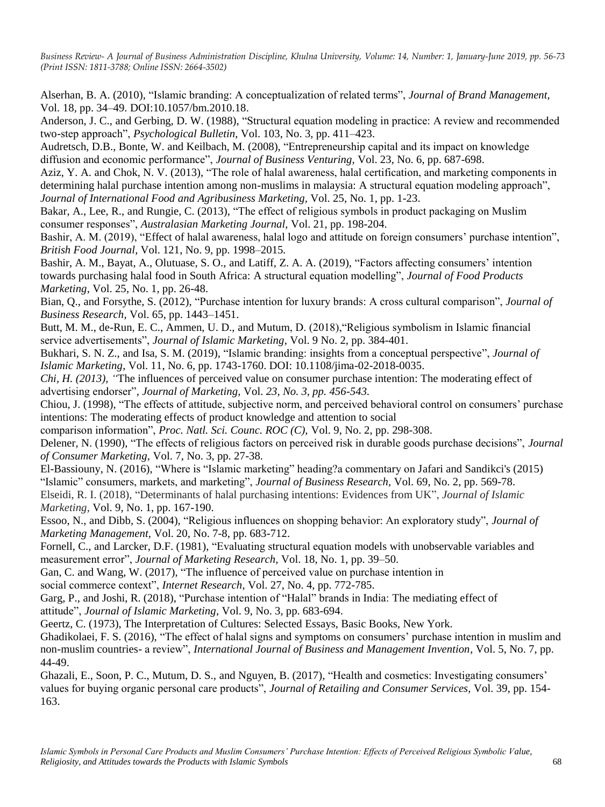Alserhan, B. A. (2010), "Islamic branding: A conceptualization of related terms", *Journal of Brand Management,*  Vol. 18*,* pp. 34–49. DOI:10.1057/bm.2010.18.

Anderson, J. C., and Gerbing, D. W. (1988), "Structural equation modeling in practice: A review and recommended two-step approach", *Psychological Bulletin,* Vol. 103, No. 3, pp. 411–423.

Audretsch, D.B., Bonte, W. and Keilbach, M. (2008), "Entrepreneurship capital and its impact on knowledge diffusion and economic performance", *Journal of Business Venturing,* Vol. 23, No. 6, pp. 687-698.

Aziz, Y. A. and Chok, N. V. (2013), "The role of halal awareness, halal certification, and marketing components in determining halal purchase intention among non-muslims in malaysia: A structural equation modeling approach", *Journal of International Food and Agribusiness Marketing,* Vol. 25, No. 1, pp. 1-23.

Bakar, A., Lee, R., and Rungie, C. (2013), "The effect of religious symbols in product packaging on Muslim consumer responses", *Australasian Marketing Journal,* Vol. 21, pp. 198-204.

Bashir, A. M. (2019), "Effect of halal awareness, halal logo and attitude on foreign consumers' purchase intention", *British Food Journal*, Vol. 121, No. 9*,* pp. 1998–2015*.*

Bashir, A. M., Bayat, A., Olutuase, S. O., and Latiff, Z. A. A. (2019), "Factors affecting consumers' intention towards purchasing halal food in South Africa: A structural equation modelling", *Journal of Food Products Marketing*, Vol. 25, No. 1, pp. 26-48.

Bian, Q., and Forsythe, S. (2012), "Purchase intention for luxury brands: A cross cultural comparison", *Journal of Business Research*, Vol. 65, pp. 1443–1451.

Butt, M. M., de-Run, E. C., Ammen, U. D., and Mutum, D. (2018),"Religious symbolism in Islamic financial service advertisements", *Journal of Islamic Marketing*, Vol. 9 No. 2, pp. 384-401.

Bukhari, S. N. Z., and Isa, S. M. (2019), "Islamic branding: insights from a conceptual perspective", *Journal of Islamic Marketing*, Vol. 11, No. 6, pp. 1743-1760. DOI: 10.1108/jima-02-2018-0035.

*Chi, H. (2013), "*The influences of perceived value on consumer purchase intention: The moderating effect of advertising endorser"*, Journal of Marketing,* Vol. *23, No. 3, pp. 456-543.*

Chiou, J. (1998), "The effects of attitude, subjective norm, and perceived behavioral control on consumers" purchase intentions: The moderating effects of product knowledge and attention to social

comparison information", *Proc. Natl. Sci. Counc. ROC (C),* Vol. 9, No. 2, pp. 298-308.

Delener, N. (1990), "The effects of religious factors on perceived risk in durable goods purchase decisions", *Journal of Consumer Marketing,* Vol. 7, No. 3, pp. 27-38.

El-Bassiouny, N. (2016), "Where is "Islamic marketing" heading?a commentary on Jafari and Sandikci's (2015) "Islamic" consumers, markets, and marketing", *Journal of Business Research,* Vol. 69, No. 2, pp. 569-78. Elseidi, R. I. (2018), "Determinants of halal purchasing intentions: Evidences from UK", *Journal of Islamic Marketing*, Vol. 9, No. 1, pp. 167-190.

Essoo, N., and Dibb, S. (2004), "Religious influences on shopping behavior: An exploratory study", *Journal of Marketing Management,* Vol. 20, No. 7-8, pp. 683-712.

Fornell, C., and Larcker, D.F. (1981), "Evaluating structural equation models with unobservable variables and measurement error", *Journal of Marketing Research,* Vol. 18, No. 1, pp. 39–50.

Gan, C. and Wang, W. (2017), "The influence of perceived value on purchase intention in

social commerce context", *Internet Research*, Vol. 27, No. 4, pp. 772-785.

Garg, P., and Joshi, R. (2018), "Purchase intention of "Halal" brands in India: The mediating effect of attitude", *Journal of Islamic Marketing*, Vol. 9, No. 3, pp. 683-694.

Geertz, C. (1973), The Interpretation of Cultures: Selected Essays, Basic Books, New York.

Ghadikolaei, F. S. (2016), "The effect of halal signs and symptoms on consumers" purchase intention in muslim and non-muslim countries- a review", *International Journal of Business and Management Invention*, Vol. 5, No. 7, pp. 44-49.

Ghazali, E., Soon, P. C., Mutum, D. S., and Nguyen, B. (2017), "Health and cosmetics: Investigating consumers" values for buying organic personal care products", *Journal of Retailing and Consumer Services,* Vol. 39, pp. 154- 163.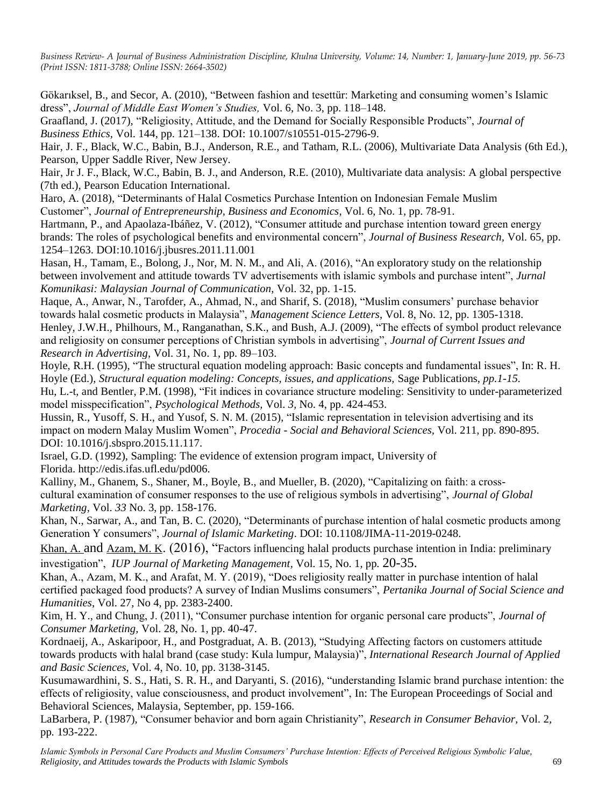Gökarıksel, B., and Secor, A. (2010), "Between fashion and tesettür: Marketing and consuming women"s Islamic dress", *Journal of Middle East Women's Studies,* Vol. 6, No. 3, pp. 118–148.

Graafland, J. (2017), "Religiosity, Attitude, and the Demand for Socially Responsible Products", *Journal of Business Ethics,* Vol. 144, pp. 121–138. DOI: 10.1007/s10551-015-2796-9.

Hair, J. F., Black, W.C., Babin, B.J., Anderson, R.E., and Tatham, R.L. (2006), Multivariate Data Analysis (6th Ed.), Pearson, Upper Saddle River, New Jersey.

Hair, Jr J. F., Black, W.C., Babin, B. J., and Anderson, R.E. (2010), Multivariate data analysis: A global perspective (7th ed.), Pearson Education International.

Haro, A. (2018), "Determinants of Halal Cosmetics Purchase Intention on Indonesian Female Muslim Customer", *Journal of Entrepreneurship, Business and Economics*, Vol. 6, No. 1, pp. 78-91.

Hartmann, P., and Apaolaza-Ibáñez, V. (2012), "Consumer attitude and purchase intention toward green energy brands: The roles of psychological benefits and environmental concern", *Journal of Business Research,* Vol. 65, pp. 1254–1263. DOI:10.1016/j.jbusres.2011.11.001

Hasan, H., Tamam, E., Bolong, J., Nor, M. N. M., and Ali, A. (2016), "An exploratory study on the relationship between involvement and attitude towards TV advertisements with islamic symbols and purchase intent", *Jurnal Komunikasi: Malaysian Journal of Communication,* Vol. 32, pp. 1-15.

Haque, A., Anwar, N., Tarofder, A., Ahmad, N., and Sharif, S. (2018), "Muslim consumers' purchase behavior towards halal cosmetic products in Malaysia", *Management Science Letters*, Vol. 8, No. 12, pp. 1305-1318.

Henley, J.W.H., Philhours, M., Ranganathan, S.K., and Bush, A.J. (2009), "The effects of symbol product relevance and religiosity on consumer perceptions of Christian symbols in advertising", *Journal of Current Issues and Research in Advertising,* Vol. 31, No. 1, pp. 89–103.

Hoyle, R.H. (1995), "The structural equation modeling approach: Basic concepts and fundamental issues", In: R. H. Hoyle (Ed.), *Structural equation modeling: Concepts, issues, and applications, Sage Publications, pp.1-15.* 

Hu, L.-t, and Bentler, P.M. (1998), "Fit indices in covariance structure modeling: Sensitivity to under-parameterized model misspecification", *Psychological Methods,* Vol. *3,* No. 4, pp. 424-453.

Hussin, R., Yusoff, S. H., and Yusof, S. N. M. (2015), "Islamic representation in television advertising and its impact on modern Malay Muslim Women", *Procedia - Social and Behavioral Sciences,* Vol. 211*,* pp. 890-895. DOI: 10.1016/j.sbspro.2015.11.117.

Israel, G.D. (1992), Sampling: The evidence of extension program impact, University of Florida. http://edis.ifas.ufl.edu/pd006.

Kalliny, M., Ghanem, S., Shaner, M., Boyle, B., and Mueller, B. (2020), "Capitalizing on faith: a crosscultural examination of consumer responses to the use of religious symbols in advertising", *Journal of Global Marketing*, Vol. *33* No. 3, pp. 158-176.

Khan, N., Sarwar, A., and Tan, B. C. (2020), "Determinants of purchase intention of halal cosmetic products among Generation Y consumers", *Journal of Islamic Marketing*. DOI: 10.1108/JIMA-11-2019-0248.

[Khan, A.](https://search.proquest.com/indexinglinkhandler/sng/au/Khan,+Adil/$N;jsessionid=590296AFC8372315736D398AB0AFEFA5.i-07b1e1dc0ef163512) and [Azam, M. K](https://search.proquest.com/indexinglinkhandler/sng/au/Azam,+Mohammad+Khalid/$N;jsessionid=590296AFC8372315736D398AB0AFEFA5.i-07b1e1dc0ef163512). (2016), "Factors influencing halal products purchase intention in India: preliminary investigation", *[IUP Journal of Marketing Management,](https://search.proquest.com/pubidlinkhandler/sng/pubtitle/IUP+Journal+of+Marketing+Management/$N/54464/OpenView/1771700103/$B/4EF4CB1B1E6242D6PQ/1;jsessionid=590296AFC8372315736D398AB0AFEFA5.i-07b1e1dc0ef163512)* [Vol. 15, No. 1](https://search.proquest.com/indexingvolumeissuelinkhandler/54464/IUP+Journal+of+Marketing+Management/02016Y02Y01$23Feb+2016$3b++Vol.+15+$281$29/15/1;jsessionid=590296AFC8372315736D398AB0AFEFA5.i-07b1e1dc0ef163512)*,* pp*.* 20-35.

Khan, A., Azam, M. K., and Arafat, M. Y. (2019), "Does religiosity really matter in purchase intention of halal certified packaged food products? A survey of Indian Muslims consumers", *Pertanika Journal of Social Science and Humanities*, Vol. 27, No 4, pp. 2383-2400.

Kim, H. Y., and Chung, J. (2011), "Consumer purchase intention for organic personal care products", *Journal of Consumer Marketing,* Vol. 28, No. 1, pp. 40-47.

Kordnaeij, A., Askaripoor, H., and Postgraduat, A. B. (2013), "Studying Affecting factors on customers attitude towards products with halal brand (case study: Kula lumpur, Malaysia)", *International Research Journal of Applied and Basic Sciences,* Vol. 4, No. 10, pp. 3138-3145.

Kusumawardhini, S. S., Hati, S. R. H., and Daryanti, S. (2016), "understanding Islamic brand purchase intention: the effects of religiosity, value consciousness, and product involvement", In: The European Proceedings of Social and Behavioral Sciences, Malaysia, September, pp. 159-166.

LaBarbera, P. (1987), "Consumer behavior and born again Christianity", *Research in Consumer Behavior,* Vol. 2*,*  pp*.* 193-222.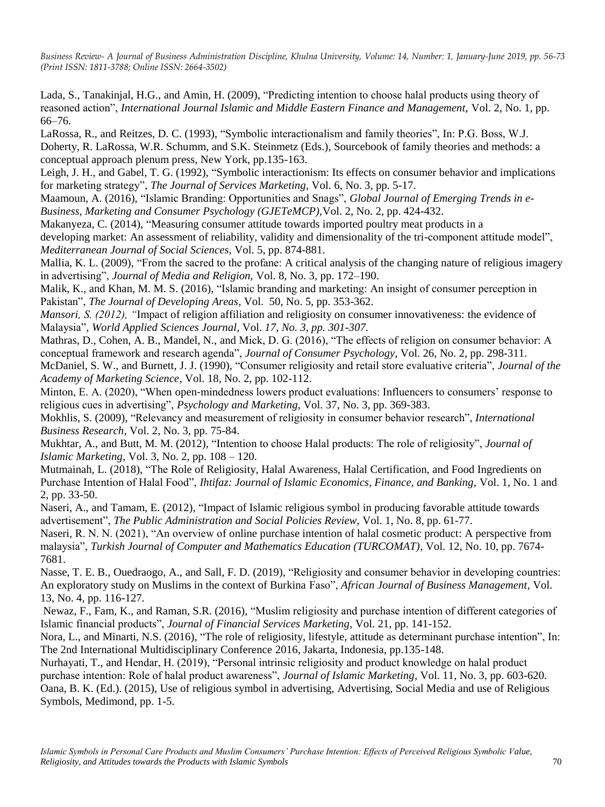Lada, S., Tanakinjal, H.G., and Amin, H. (2009), "Predicting intention to choose halal products using theory of reasoned action", *International Journal Islamic and Middle Eastern Finance and Management,* Vol. 2, No. 1, pp. 66–76.

LaRossa, R., and Reitzes, D. C. (1993), "Symbolic interactionalism and family theories", In: P.G. Boss, W.J. Doherty, R. LaRossa, W.R. Schumm, and S.K. Steinmetz (Eds.), Sourcebook of family theories and methods: a conceptual approach plenum press, New York, pp.135-163.

Leigh, J. H., and Gabel, T. G. (1992), "Symbolic interactionism: Its effects on consumer behavior and implications for marketing strategy", *The Journal of Services Marketing,* Vol. 6, No. 3, pp. 5-17.

Maamoun, A. (2016), "Islamic Branding: Opportunities and Snags", *Global Journal of Emerging Trends in e-Business, Marketing and Consumer Psychology (GJETeMCP),*Vol. 2, No. 2, pp. 424-432.

Makanyeza, C. (2014), "Measuring consumer attitude towards imported poultry meat products in a developing market: An assessment of reliability, validity and dimensionality of the tri-component attitude model", *Mediterranean Journal of Social Sciences,* Vol. 5*,* pp. 874-881.

Mallia, K. L. (2009), "From the sacred to the profane: A critical analysis of the changing nature of religious imagery in advertising", *Journal of Media and Religion,* Vol. 8, No. 3, pp. 172–190.

Malik, K., and Khan, M. M. S. (2016), "Islamic branding and marketing: An insight of consumer perception in Pakistan", *The Journal of Developing Areas*, Vol. 50, No. 5, pp. 353-362.

*Mansori, S. (2012), "*Impact of religion affiliation and religiosity on consumer innovativeness: the evidence of Malaysia"*, World Applied Sciences Journal,* Vol. *17, No. 3, pp. 301-307.*

Mathras, D., Cohen, A. B., Mandel, N., and Mick, D. G. (2016), "The effects of religion on consumer behavior: A conceptual framework and research agenda", *Journal of Consumer Psychology*, Vol. 26, No. 2, pp. 298-311.

McDaniel, S. W., and Burnett, J. J. (1990), "Consumer religiosity and retail store evaluative criteria", *Journal of the Academy of Marketing Science,* Vol. 18, No. 2, pp. 102-112.

Minton, E. A. (2020), "When open-mindedness lowers product evaluations: Influencers to consumers' response to religious cues in advertising", *Psychology and Marketing*, Vol. 37, No. 3, pp. 369-383.

Mokhlis, S. (2009), "Relevancy and measurement of religiosity in consumer behavior research", *International Business Research*, Vol. 2, No. 3, pp. 75-84.

Mukhtar, A., and Butt, M. M. (2012), "Intention to choose Halal products: The role of religiosity", *Journal of Islamic Marketing,* Vol. 3, No. 2, pp. 108 – 120.

Mutmainah, L. (2018), "The Role of Religiosity, Halal Awareness, Halal Certification, and Food Ingredients on Purchase Intention of Halal Food", *Ihtifaz: Journal of Islamic Economics, Finance, and Banking,* Vol. 1, No. 1 and 2, pp. 33-50.

Naseri, A., and Tamam, E. (2012), "Impact of Islamic religious symbol in producing favorable attitude towards advertisement", *The Public Administration and Social Policies Review,* Vol. 1, No. 8, pp. 61-77.

Naseri, R. N. N. (2021), "An overview of online purchase intention of halal cosmetic product: A perspective from malaysia", *Turkish Journal of Computer and Mathematics Education (TURCOMAT)*, Vol. 12, No. 10, pp. 7674- 7681.

Nasse, T. E. B., Ouedraogo, A., and Sall, F. D. (2019), "Religiosity and consumer behavior in developing countries: An exploratory study on Muslims in the context of Burkina Faso", *African Journal of Business Management*, Vol. 13, No. 4, pp. 116-127.

Newaz, F., Fam, K., and Raman, S.R. (2016), "Muslim religiosity and purchase intention of different categories of Islamic financial products", *Journal of Financial Services Marketing,* Vol. 21, pp. 141-152.

Nora, L., and Minarti, N.S. (2016), "The role of religiosity, lifestyle, attitude as determinant purchase intention", In: The 2nd International Multidisciplinary Conference 2016, Jakarta, Indonesia, pp.135-148.

Nurhayati, T., and Hendar, H. (2019), "Personal intrinsic religiosity and product knowledge on halal product purchase intention: Role of halal product awareness", *Journal of Islamic Marketing*, Vol. 11, No. 3, pp. 603-620. Oana, B. K. (Ed.). (2015), Use of religious symbol in advertising, Advertising, Social Media and use of Religious Symbols, Medimond, pp. 1-5.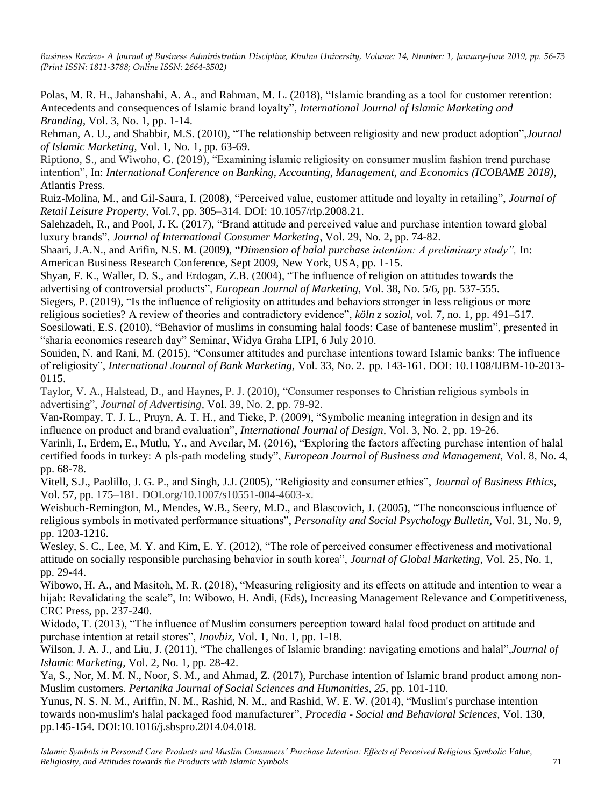Polas, M. R. H., Jahanshahi, A. A., and Rahman, M. L. (2018), "Islamic branding as a tool for customer retention: Antecedents and consequences of Islamic brand loyalty", *International Journal of Islamic Marketing and Branding*, Vol. 3, No. 1, pp. 1-14.

Rehman, A. U., and Shabbir, M.S. (2010), "The relationship between religiosity and new product adoption",*Journal of Islamic Marketing,* Vol. 1, No. 1, pp. 63-69.

Riptiono, S., and Wiwoho, G. (2019), "Examining islamic religiosity on consumer muslim fashion trend purchase intention", In: *International Conference on Banking, Accounting, Management, and Economics (ICOBAME 2018)*, Atlantis Press.

Ruiz-Molina, M., and Gil-Saura, I. (2008), "Perceived value, customer attitude and loyalty in retailing", *Journal of Retail Leisure Property,* Vol.7, pp. 305–314. DOI: 10.1057/rlp.2008.21.

Salehzadeh, R., and Pool, J. K. (2017), "Brand attitude and perceived value and purchase intention toward global luxury brands", *Journal of International Consumer Marketing*, Vol. 29, No. 2, pp. 74-82.

Shaari, J.A.N., and Arifin, N.S. M. (2009), "*Dimension of halal purchase intention: A preliminary study",* In: American Business Research Conference, Sept 2009, New York, USA, pp. 1-15.

Shyan, F. K., Waller, D. S., and Erdogan, Z.B. (2004), "The influence of religion on attitudes towards the advertising of controversial products", *European Journal of Marketing,* Vol. 38, No. 5/6, pp. 537-555.

Siegers, P. (2019), "Is the influence of religiosity on attitudes and behaviors stronger in less religious or more religious societies? A review of theories and contradictory evidence", *köln z soziol,* vol. 7, no. 1, pp. 491–517.

Soesilowati, E.S. (2010), "Behavior of muslims in consuming halal foods: Case of bantenese muslim", presented in "sharia economics research day" Seminar, Widya Graha LIPI, 6 July 2010.

Souiden, N. and Rani, M. (2015), "Consumer attitudes and purchase intentions toward Islamic banks: The influence of religiosity", *International Journal of Bank Marketing,* Vol. 33, No. 2. pp. 143-161. [DOI: 10.1108/IJBM-10-2013-](https://doi.org/10.1108/IJBM-10-2013-0115) [0115.](https://doi.org/10.1108/IJBM-10-2013-0115)

Taylor, V. A., Halstead, D., and Haynes, P. J. (2010), "Consumer responses to Christian religious symbols in advertising", *Journal of Advertising*, Vol. 39, No. 2, pp. 79-92.

Van-Rompay, T. J. L., Pruyn, A. T. H., and Tieke, P. (2009), "Symbolic meaning integration in design and its influence on product and brand evaluation", *International Journal of Design,* Vol. 3, No. 2, pp. 19-26.

Varinli, I., Erdem, E., Mutlu, Y., and Avcılar, M. (2016), "Exploring the factors affecting purchase intention of halal certified foods in turkey: A pls-path modeling study", *European Journal of Business and Management,* Vol. 8, No. 4, pp. 68-78.

Vitell, S.J., Paolillo, J. G. P., and Singh, J.J. (2005), "Religiosity and consumer ethics", *Journal of Business Ethics*, Vol. 57, pp. 175–181. DOI.org/10.1007/s10551-004-4603-x.

Weisbuch-Remington, M., Mendes, W.B., Seery, M.D., and Blascovich, J. (2005), "The nonconscious influence of religious symbols in motivated performance situations", *Personality and Social Psychology Bulletin,* Vol. 31, No. 9, pp. 1203-1216.

Wesley, S. C., Lee, M. Y. and Kim, E. Y. (2012), "The role of perceived consumer effectiveness and motivational attitude on socially responsible purchasing behavior in south korea", *Journal of Global Marketing,* Vol. 25, No. 1, pp. 29-44.

Wibowo, H. A., and Masitoh, M. R. (2018), "Measuring religiosity and its effects on attitude and intention to wear a hijab: Revalidating the scale", In: Wibowo, H. Andi, (Eds), Increasing Management Relevance and Competitiveness, CRC Press, pp. 237-240.

Widodo, T. (2013), "The influence of Muslim consumers perception toward halal food product on attitude and purchase intention at retail stores", *Inovbiz*, Vol. 1, No. 1, pp. 1-18.

Wilson, J. A. J., and Liu, J. (2011), "The challenges of Islamic branding: navigating emotions and halal",*Journal of Islamic Marketing,* Vol. 2, No. 1, pp. 28-42.

Ya, S., Nor, M. M. N., Noor, S. M., and Ahmad, Z. (2017), Purchase intention of Islamic brand product among non-Muslim customers. *Pertanika Journal of Social Sciences and Humanities*, *25*, pp. 101-110.

Yunus, N. S. N. M., Ariffin, N. M., Rashid, N. M., and Rashid, W. E. W. (2014), "Muslim's purchase intention towards non-muslim's halal packaged food manufacturer", *Procedia - Social and Behavioral Sciences,* Vol. 130*,*  pp.145-154. DOI:10.1016/j.sbspro.2014.04.018.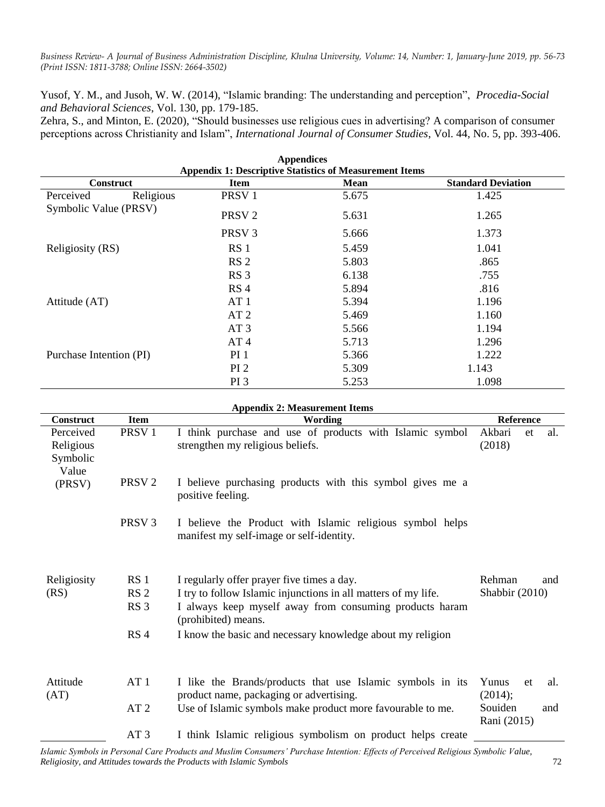Yusof, Y. M., and Jusoh, W. W. (2014), "Islamic branding: The understanding and perception", *Procedia-Social and Behavioral Sciences*, Vol. 130, pp. 179-185.

Zehra, S., and Minton, E. (2020), "Should businesses use religious cues in advertising? A comparison of consumer perceptions across Christianity and Islam", *International Journal of Consumer Studies*, Vol. 44, No. 5, pp. 393-406.

| <b>Appendices</b>                                              |                   |       |                           |  |  |  |
|----------------------------------------------------------------|-------------------|-------|---------------------------|--|--|--|
| <b>Appendix 1: Descriptive Statistics of Measurement Items</b> |                   |       |                           |  |  |  |
| <b>Construct</b>                                               | <b>Item</b>       | Mean  | <b>Standard Deviation</b> |  |  |  |
| Religious<br>Perceived                                         | PRSV <sub>1</sub> | 5.675 | 1.425                     |  |  |  |
| Symbolic Value (PRSV)                                          | PRSV <sub>2</sub> | 5.631 | 1.265                     |  |  |  |
|                                                                | PRSV <sub>3</sub> | 5.666 | 1.373                     |  |  |  |
| Religiosity (RS)                                               | RS <sub>1</sub>   | 5.459 | 1.041                     |  |  |  |
|                                                                | RS <sub>2</sub>   | 5.803 | .865                      |  |  |  |
|                                                                | RS <sub>3</sub>   | 6.138 | .755                      |  |  |  |
|                                                                | RS <sub>4</sub>   | 5.894 | .816                      |  |  |  |
| Attitude (AT)                                                  | AT 1              | 5.394 | 1.196                     |  |  |  |
|                                                                | AT <sub>2</sub>   | 5.469 | 1.160                     |  |  |  |
|                                                                | AT <sub>3</sub>   | 5.566 | 1.194                     |  |  |  |
|                                                                | AT <sub>4</sub>   | 5.713 | 1.296                     |  |  |  |
| Purchase Intention (PI)                                        | $PI_1$            | 5.366 | 1.222                     |  |  |  |
|                                                                | PI <sub>2</sub>   | 5.309 | 1.143                     |  |  |  |
|                                                                | PI <sub>3</sub>   | 5.253 | 1.098                     |  |  |  |

| <b>Appendix 2: Measurement Items</b>        |                   |                                                                                                       |                               |  |  |  |  |  |
|---------------------------------------------|-------------------|-------------------------------------------------------------------------------------------------------|-------------------------------|--|--|--|--|--|
| <b>Construct</b>                            | <b>Item</b>       | Wording                                                                                               | <b>Reference</b>              |  |  |  |  |  |
| Perceived<br>Religious<br>Symbolic<br>Value | PRSV <sub>1</sub> | I think purchase and use of products with Islamic symbol<br>strengthen my religious beliefs.          | Akbari<br>al.<br>et<br>(2018) |  |  |  |  |  |
| (PRSV)                                      | PRSV <sub>2</sub> | I believe purchasing products with this symbol gives me a<br>positive feeling.                        |                               |  |  |  |  |  |
|                                             | PRSV <sub>3</sub> | I believe the Product with Islamic religious symbol helps<br>manifest my self-image or self-identity. |                               |  |  |  |  |  |
| Religiosity                                 | RS <sub>1</sub>   | I regularly offer prayer five times a day.                                                            | Rehman<br>and                 |  |  |  |  |  |
| (RS)                                        | RS <sub>2</sub>   | I try to follow Islamic injunctions in all matters of my life.                                        | Shabbir $(2010)$              |  |  |  |  |  |
|                                             | RS <sub>3</sub>   | I always keep myself away from consuming products haram<br>(prohibited) means.                        |                               |  |  |  |  |  |
|                                             | RS <sub>4</sub>   | I know the basic and necessary knowledge about my religion                                            |                               |  |  |  |  |  |
| Attitude<br>(AT)                            | AT1               | I like the Brands/products that use Islamic symbols in its<br>product name, packaging or advertising. | Yunus<br>et<br>al.<br>(2014); |  |  |  |  |  |
|                                             | AT <sub>2</sub>   | Use of Islamic symbols make product more favourable to me.                                            | Souiden<br>and<br>Rani (2015) |  |  |  |  |  |
|                                             | AT <sub>3</sub>   | I think Islamic religious symbolism on product helps create                                           |                               |  |  |  |  |  |